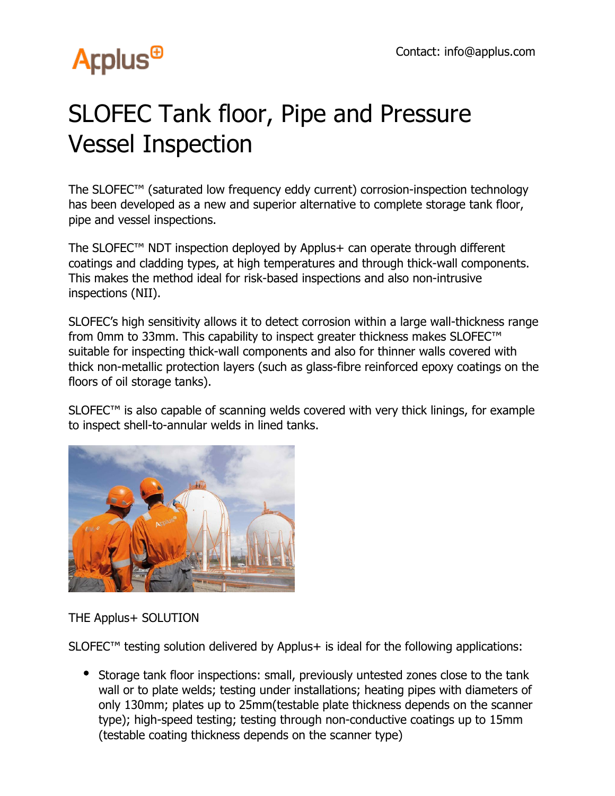# **Arplus<sup>®</sup>**

## SLOFEC Tank floor, Pipe and Pressure Vessel Inspection

The SLOFEC™ (saturated low frequency eddy current) corrosion-inspection technology has been developed as a new and superior alternative to complete storage tank floor, pipe and vessel inspections.

The SLOFEC™ NDT inspection deployed by Applus+ can operate through different coatings and cladding types, at high temperatures and through thick-wall components. This makes the method ideal for risk-based inspections and also non-intrusive inspections (NII).

SLOFEC's high sensitivity allows it to detect corrosion within a large wall-thickness range from 0mm to 33mm. This capability to inspect greater thickness makes SLOFEC™ suitable for inspecting thick-wall components and also for thinner walls covered with thick non-metallic protection layers (such as glass-fibre reinforced epoxy coatings on the floors of oil storage tanks).

SLOFEC™ is also capable of scanning welds covered with very thick linings, for example to inspect shell-to-annular welds in lined tanks.



#### THE Applus+ SOLUTION

 $SLOFEC<sup>TM</sup>$  testing solution delivered by Applus+ is ideal for the following applications:

Storage tank floor inspections: small, previously untested zones close to the tank wall or to plate welds; testing under installations; heating pipes with diameters of only 130mm; plates up to 25mm(testable plate thickness depends on the scanner type); high-speed testing; testing through non-conductive coatings up to 15mm (testable coating thickness depends on the scanner type)